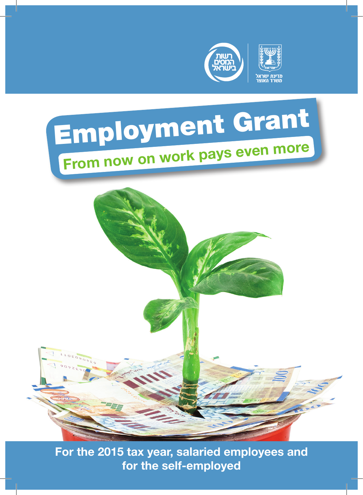





For the 2015 tax year, salaried employees and for the self-employed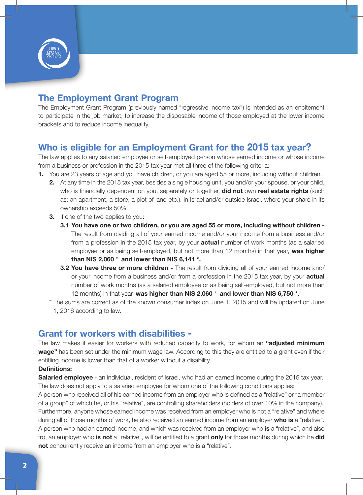

# The Employment Grant Program

The Employment Grant Program (previously named "regressive income tax") is intended as an encitement to participate in the job market, to increase the disposable income of those employed at the lower income brackets and to reduce income inequality.

### Who is eligible for an Employment Grant for the 2015 tax year?

The law applies to any salaried employee or self-employed person whose earned income or whose income from a business or profession in the 2015 tax year met all three of the following criteria:

- 1. You are 23 years of age and you have children, or you are aged 55 or more, including without children.
	- 2. At any time in the 2015 tax year, besides a single housing unit, you and/or your spouse, or your child, who is financially dependent on you, separately or together, **did not** own real estate rights (such as: an apartment, a store, a plot of land etc.). in Israel and/or outside Israel, where your share in its ownership exceeds 50%.
	- **3.** If one of the two applies to you:
		- 3.1 You have one or two children, or you are aged 55 or more, including without children The result from dividing all of your earned income and/or your income from a business and/or from a profession in the 2015 tax year, by your **actual** number of work months (as a salaried employee or as being self-employed, but not more than 12 months) in that year, was higher than NIS 2,060  $*$  and lower than NIS 6,141  $*$ .
		- **3.2 You have three or more children -** The result from dividing all of your earned income and/ or your income from a business and/or from a profession in the 2015 tax year, by your **actual** number of work months (as a salaried employee or as being self-employed, but not more than 12 months) in that year, was higher than NIS 2,060  $*$  and lower than NIS 6,750  $*$ .
	- \* The sums are correct as of the known consumer index on June 1, 2015 and will be updated on June 1, 2016 according to law.

#### Grant for workers with disabilities -

The law makes it easier for workers with reduced capacity to work, for whom an "adjusted minimum wage" has been set under the minimum wage law. According to this they are entitled to a grant even if their entitling income is lower than that of a worker without a disability.

#### Definitions:

Salaried employee - an individual, resident of Israel, who had an earned income during the 2015 tax year. The law does not apply to a salaried employee for whom one of the following conditions applies:

A person who received all of his earned income from an employer who is defined as a "relative" or "a member of a group" of which he, or his "relative", are controlling shareholders (holders of over 10% in the company). Furthermore, anyone whose earned income was received from an employer who is not a "relative" and where during all of those months of work, he also received an earned income from an employer who is a "relative". A person who had an earned income, and which was received from an employer who is a "relative", and also fro, an employer who is not a "relative", will be entitled to a grant only for those months during which he did not concurrently receive an income from an employer who is a "relative".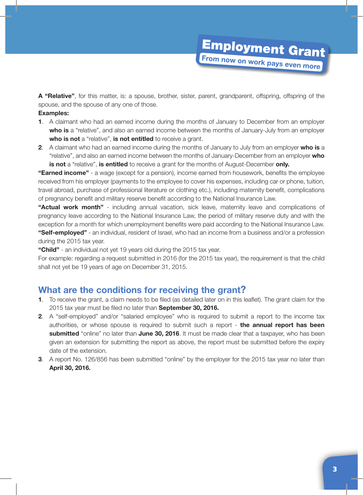# **Employment Grant** From now on work pays even more

A "Relative", for this matter, is: a spouse, brother, sister, parent, grandparent, offspring, offspring of the spouse, and the spouse of any one of those.

#### Examples:

- 1. A claimant who had an earned income during the months of January to December from an employer who is a "relative", and also an earned income between the months of January-July from an employer who is not a "relative", is not entitled to receive a grant.
- 2. A claimant who had an earned income during the months of January to July from an employer who is a "relative", and also an earned income between the months of January-December from an employer who is not a "relative", is entitled to receive a grant for the months of August-December only.

"Earned income" - a wage (except for a pension), income earned from housework, benefits the employee received from his employer (payments to the employee to cover his expenses, including car or phone, tuition, travel abroad, purchase of professional literature or clothing etc.), including maternity benefit, complications of pregnancy benefit and military reserve benefit according to the National Insurance Law.

"Actual work month" - including annual vacation, sick leave, maternity leave and complications of pregnancy leave according to the National Insurance Law, the period of military reserve duty and with the exception for a month for which unemployment benefits were paid according to the National Insurance Law. "Self-employed" - an individual, resident of Israel, who had an income from a business and/or a profession during the 2015 tax year.

"Child" - an individual not yet 19 years old during the 2015 tax year.

For example: regarding a request submitted in 2016 (for the 2015 tax year), the requirement is that the child shall not yet be 19 years of age on December 31, 2015.

#### What are the conditions for receiving the grant?

- 1. To receive the grant, a claim needs to be filed (as detailed later on in this leaflet). The grant claim for the 2015 tax year must be filed no later than September 30, 2016.
- 2. A "self-employed" and/or "salaried employee" who is required to submit a report to the income tax authorities, or whose spouse is required to submit such a report - the annual report has been submitted "online" no later than June 30, 2016. It must be made clear that a taxpayer, who has been given an extension for submitting the report as above, the report must be submitted before the expiry date of the extension.
- **3.** A report No. 126/856 has been submitted "online" by the employer for the 2015 tax year no later than April 30, 2016.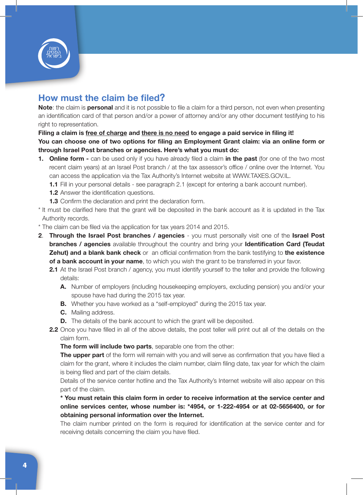

# How must the claim be filed?

Note: the claim is personal and it is not possible to file a claim for a third person, not even when presenting an identification card of that person and/or a power of attorney and/or any other document testifying to his right to representation.

#### Filing a claim is free of charge and there is no need to engage a paid service in filing it! You can choose one of two options for filing an Employment Grant claim: via an online form or through Israel Post branches or agencies. Here's what you must do:

- 1. Online form can be used only if you have already filed a claim in the past (for one of the two most recent claim years) at an Israel Post branch / at the tax assessor's office / online over the Internet. You can access the application via the Tax Authority's Internet website at WWW.TAXES.GOV.IL.
	- 1.1 Fill in your personal details see paragraph 2.1 (except for entering a bank account number).
	- **1.2** Answer the identification questions.
	- **1.3** Confirm the declaration and print the declaration form.
- \* It must be clarified here that the grant will be deposited in the bank account as it is updated in the Tax Authority records.
- \* The claim can be filed via the application for tax years 2014 and 2015.
- 2. Through the Israel Post branches / agencies you must personally visit one of the Israel Post **branches / agencies** available throughout the country and bring your **Identification Card (Teudat** Zehut) and a blank bank check or an official confirmation from the bank testifying to the existence of a bank account in your name, to which you wish the grant to be transferred in your favor.
	- 2.1 At the Israel Post branch / agency, you must identify yourself to the teller and provide the following details:
		- A. Number of employers (including housekeeping employers, excluding pension) you and/or your spouse have had during the 2015 tax year.
		- **B.** Whether you have worked as a "self-employed" during the 2015 tax year.
		- C. Mailing address.
		- **D.** The details of the bank account to which the grant will be deposited.
	- 2.2 Once you have filled in all of the above details, the post teller will print out all of the details on the claim form.

The form will include two parts, separable one from the other:

The upper part of the form will remain with you and will serve as confirmation that you have filed a claim for the grant, where it includes the claim number, claim filing date, tax year for which the claim is being filed and part of the claim details.

Details of the service center hotline and the Tax Authority's Internet website will also appear on this part of the claim.

\* You must retain this claim form in order to receive information at the service center and online services center, whose number is: \*4954, or 1-222-4954 or at 02-5656400, or for obtaining personal information over the Internet.

The claim number printed on the form is required for identification at the service center and for receiving details concerning the claim you have filed.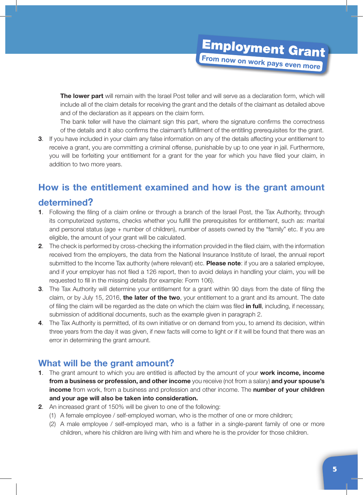The lower part will remain with the Israel Post teller and will serve as a declaration form, which will include all of the claim details for receiving the grant and the details of the claimant as detailed above and of the declaration as it appears on the claim form.

The bank teller will have the claimant sign this part, where the signature confirms the correctness of the details and it also confirms the claimant's fulfillment of the entitling prerequisites for the grant.

3. If you have included in your claim any false information on any of the details affecting your entitlement to receive a grant, you are committing a criminal offense, punishable by up to one year in jail. Furthermore, you will be forfeiting your entitlement for a grant for the year for which you have filed your claim, in addition to two more years.

# How is the entitlement examined and how is the grant amount

#### determined?

- 1. Following the filing of a claim online or through a branch of the Israel Post, the Tax Authority, through its computerized systems, checks whether you fulfill the prerequisites for entitlement, such as: marital and personal status (age + number of children), number of assets owned by the "family" etc. If you are eligible, the amount of your grant will be calculated.
- 2. The check is performed by cross-checking the information provided in the filed claim, with the information received from the employers, the data from the National Insurance Institute of Israel, the annual report submitted to the Income Tax authority (where relevant) etc. Please note: if you are a salaried employee, and if your employer has not filed a 126 report, then to avoid delays in handling your claim, you will be requested to fill in the missing details (for example: Form 106).
- 3. The Tax Authority will determine your entitlement for a grant within 90 days from the date of filing the claim, or by July 15, 2016, the later of the two, your entitlement to a grant and its amount. The date of filing the claim will be regarded as the date on which the claim was filed in full, including, if necessary, submission of additional documents, such as the example given in paragraph 2.
- 4. The Tax Authority is permitted, of its own initiative or on demand from you, to amend its decision, within three years from the day it was given, if new facts will come to light or if it will be found that there was an error in determining the grant amount.

### What will be the grant amount?

- 1. The grant amount to which you are entitled is affected by the amount of your work income, income from a business or profession, and other income you receive (not from a salary) and your spouse's income from work, from a business and profession and other income. The number of your children and your age will also be taken into consideration.
- 2. An increased grant of 150% will be given to one of the following:
	- (1) A female employee / self-employed woman, who is the mother of one or more children;
	- (2) A male employee / self-employed man, who is a father in a single-parent family of one or more children, where his children are living with him and where he is the provider for those children.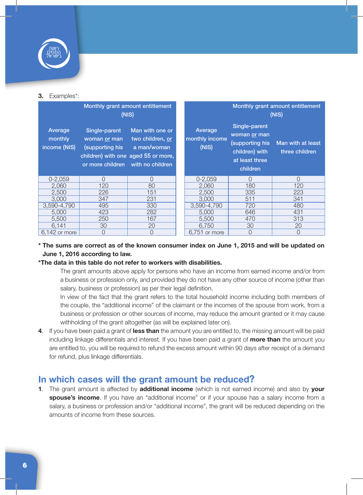

#### 3. Examples\*:

| Monthly grant amount entitlement<br>(NIS) |                                                                                                            |                                                                        | Monthly grant amount entitlement<br>(NIS) |                                                                                                 |                                     |
|-------------------------------------------|------------------------------------------------------------------------------------------------------------|------------------------------------------------------------------------|-------------------------------------------|-------------------------------------------------------------------------------------------------|-------------------------------------|
| Average<br>monthly<br>income (NIS)        | Single-parent<br>woman or man<br>supporting his<br>children) with one aged 55 or more,<br>or more children | Man with one or<br>two children, or<br>a man/woman<br>with no children | Average<br>monthly income<br>(NIS)        | Single-parent<br>woman or man<br>supporting his<br>children) with<br>at least three<br>children | Man with at least<br>three children |
| $0 - 2.059$                               | $\Omega$                                                                                                   | O                                                                      | $0 - 2.059$                               | $\cap$                                                                                          | $\cap$                              |
| 2.060                                     | 120                                                                                                        | 80                                                                     | 2.060                                     | 180                                                                                             | 120                                 |
| 2,500                                     | 226                                                                                                        | 151                                                                    | 2.500                                     | 335                                                                                             | 223                                 |
| 3.000                                     | 347                                                                                                        | 231                                                                    | 3.000                                     | 511                                                                                             | 341                                 |
| 3,590-4,790                               | 495                                                                                                        | 330                                                                    | 3,590-4,790                               | 720                                                                                             | 480                                 |
| 5.000                                     | 423                                                                                                        | 282                                                                    | 5.000                                     | 646                                                                                             | 431                                 |
| 5.500                                     | 250                                                                                                        | 167                                                                    | 5.500                                     | 470                                                                                             | 313                                 |
| 6.141                                     | 30                                                                                                         | 20                                                                     | 6.750                                     | 30                                                                                              | 20                                  |
| 6.142 or more                             | 0                                                                                                          | 0                                                                      | 6,751 or more                             | $\Omega$                                                                                        | $\Omega$                            |

#### \* The sums are correct as of the known consumer index on June 1, 2015 and will be updated on June 1, 2016 according to law.

#### \*The data in this table do not refer to workers with disabilities.

The grant amounts above apply for persons who have an income from earned income and/or from a business or profession only, and provided they do not have any other source of income (other than salary, business or profession) as per their legal definition.

In view of the fact that the grant refers to the total household income including both members of the couple, the "additional income" of the claimant or the incomes of the spouse from work, from a business or profession or other sources of income, may reduce the amount granted or it may cause withholding of the grant altogether (as will be explained later on).

4. If you have been paid a grant of less than the amount you are entitled to, the missing amount will be paid including linkage differentials and interest. If you have been paid a grant of **more than** the amount you are entitled to, you will be required to refund the excess amount within 90 days after receipt of a demand for refund, plus linkage differentials.

### In which cases will the grant amount be reduced?

1. The grant amount is affected by additional income (which is not earned income) and also by your spouse's income. If you have an "additional income" or if your spouse has a salary income from a salary, a business or profession and/or "additional income", the grant will be reduced depending on the amounts of income from these sources.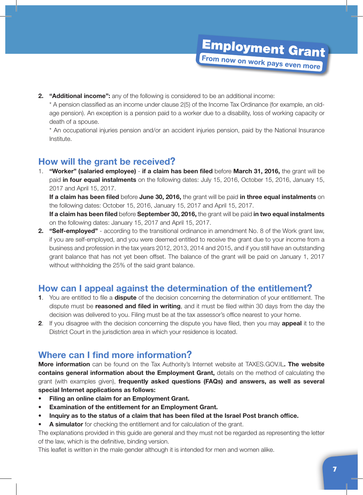**2.** "**Additional income":** any of the following is considered to be an additional income:

\* A pension classified as an income under clause 2(5) of the Income Tax Ordinance (for example, an oldage pension). An exception is a pension paid to a worker due to a disability, loss of working capacity or death of a spouse.

\* An occupational injuries pension and/or an accident injuries pension, paid by the National Insurance Institute.

## How will the grant be received?

1. "Worker" (salaried employee) - if a claim has been filed before March 31, 2016, the grant will be paid in four equal instalments on the following dates: July 15, 2016, October 15, 2016, January 15, 2017 and April 15, 2017.

If a claim has been filed before June 30, 2016, the grant will be paid in three equal instalments on the following dates: October 15, 2016, January 15, 2017 and April 15, 2017.

If a claim has been filed before September 30, 2016, the grant will be paid in two equal instalments on the following dates: January 15, 2017 and April 15, 2017.

2. "Self-employed" - according to the transitional ordinance in amendment No. 8 of the Work grant law, if you are self-employed, and you were deemed entitled to receive the grant due to your income from a business and profession in the tax years 2012, 2013, 2014 and 2015, and if you still have an outstanding grant balance that has not yet been offset. The balance of the grant will be paid on January 1, 2017 without withholding the 25% of the said grant balance.

### How can I appeal against the determination of the entitlement?

- 1. You are entitled to file a **dispute** of the decision concerning the determination of your entitlement. The dispute must be reasoned and filed in writing, and it must be filed within 30 days from the day the decision was delivered to you. Filing must be at the tax assessor's office nearest to your home.
- 2. If you disagree with the decision concerning the dispute you have filed, then you may appeal it to the District Court in the jurisdiction area in which your residence is located.

# Where can I find more information?

More information can be found on the Tax Authority's Internet website at TAXES.GOV.IL. The website contains general information about the Employment Grant, details on the method of calculating the grant (with examples given), frequently asked questions (FAQs) and answers, as well as several special Internet applications as follows:

- Filing an online claim for an Employment Grant.
- Examination of the entitlement for an Employment Grant.
- Inquiry as to the status of a claim that has been filed at the Israel Post branch office.
- A simulator for checking the entitlement and for calculation of the grant.

The explanations provided in this guide are general and they must not be regarded as representing the letter of the law, which is the definitive, binding version.

This leaflet is written in the male gender although it is intended for men and women alike.